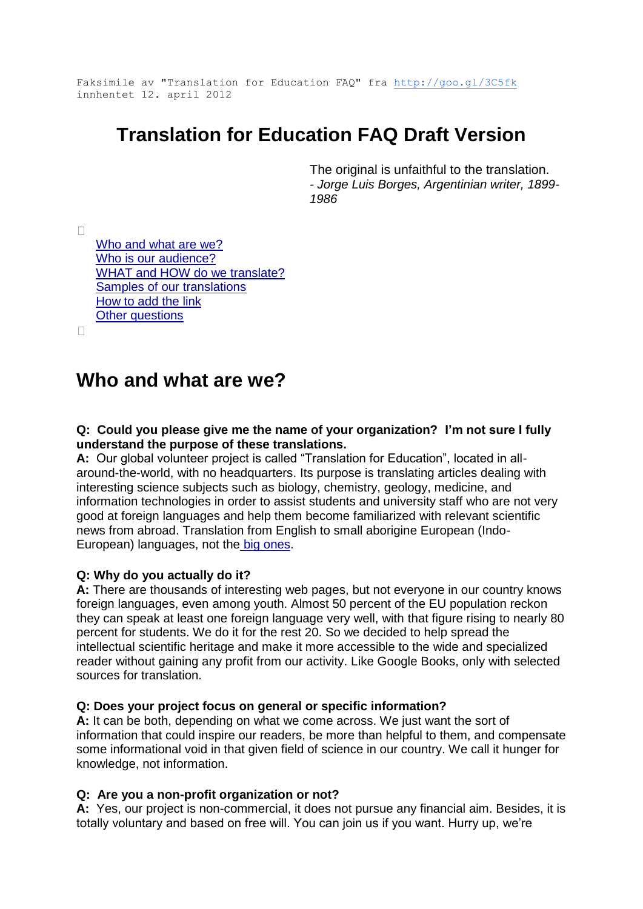Faksimile av "Translation for Education FAQ" fra <http://goo.gl/3C5fk> innhentet 12. april 2012

# **Translation for Education FAQ Draft Version**

The original is unfaithful to the translation. *- Jorge Luis Borges, Argentinian writer, 1899- 1986*

 $\Box$ 

[Who and what are we?](https://docs.google.com/document/d/1idnLEFu27xl-Ml7gwrjFTmktHp9MslQIP1SNsXdawbM/edit?hl=en_US&pli=1#heading=h.qz9p6wwohkpy) [Who is our audience?](https://docs.google.com/document/d/1idnLEFu27xl-Ml7gwrjFTmktHp9MslQIP1SNsXdawbM/edit?hl=en_US&pli=1#heading=h.kt33n3jtybqz) [WHAT and HOW do we translate?](https://docs.google.com/document/d/1idnLEFu27xl-Ml7gwrjFTmktHp9MslQIP1SNsXdawbM/edit?hl=en_US&pli=1#heading=h.cjtitaxqny2v) [Samples of our translations](https://docs.google.com/document/d/1idnLEFu27xl-Ml7gwrjFTmktHp9MslQIP1SNsXdawbM/edit?hl=en_US&pli=1#heading=h.93eph5e9ogrr) [How to add the link](https://docs.google.com/document/d/1idnLEFu27xl-Ml7gwrjFTmktHp9MslQIP1SNsXdawbM/edit?hl=en_US&pli=1#heading=h.jayjy0cah0om) **[Other questions](https://docs.google.com/document/d/1idnLEFu27xl-Ml7gwrjFTmktHp9MslQIP1SNsXdawbM/edit?hl=en_US&pli=1#heading=h.8obib1m72jsv)** 

 $\Box$ 

## **Who and what are we?**

**Q: Could you please give me the name of your organization? I'm not sure I fully understand the purpose of these translations.**

**A:** Our global volunteer project is called "Translation for Education", located in allaround-the-world, with no headquarters. Its purpose is translating articles dealing with interesting science subjects such as biology, chemistry, geology, medicine, and information technologies in order to assist students and university staff who are not very good at foreign languages and help them become familiarized with relevant scientific news from abroad. Translation from English to small aborigine European (Indo-European) languages, not the [big ones.](http://www.internetworldstats.com/stats7.htm)

## **Q: Why do you actually do it?**

**A:** There are thousands of interesting web pages, but not everyone in our country knows foreign languages, even among youth. Almost 50 percent of the EU population reckon they can speak at least one foreign language very well, with that figure rising to nearly 80 percent for students. We do it for the rest 20. So we decided to help spread the intellectual scientific heritage and make it more accessible to the wide and specialized reader without gaining any profit from our activity. Like Google Books, only with selected sources for translation.

## **Q: Does your project focus on general or specific information?**

**A:** It can be both, depending on what we come across. We just want the sort of information that could inspire our readers, be more than helpful to them, and compensate some informational void in that given field of science in our country. We call it hunger for knowledge, not information.

## **Q: Are you a non-profit organization or not?**

**A:** Yes, our project is non-commercial, it does not pursue any financial aim. Besides, it is totally voluntary and based on free will. You can join us if you want. Hurry up, we're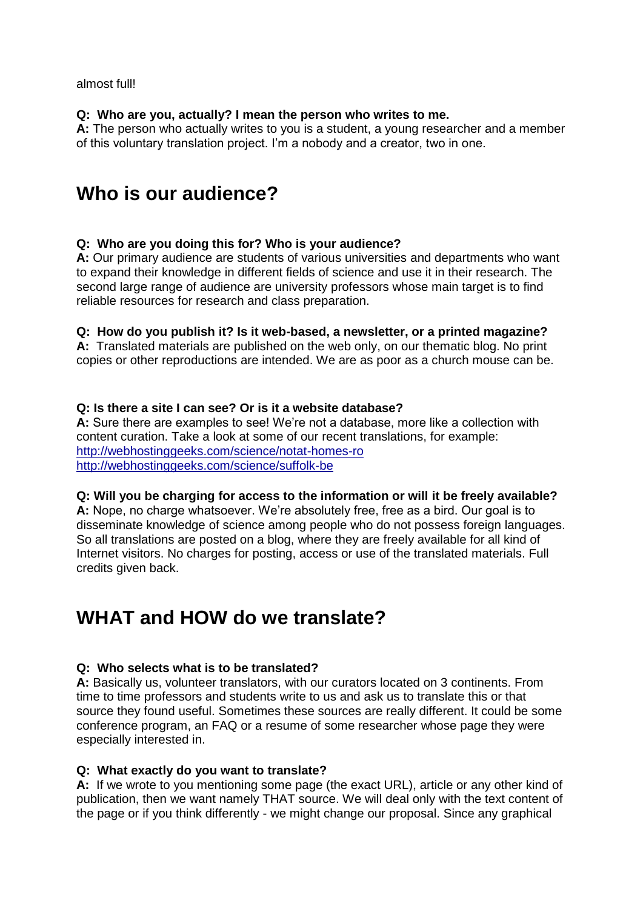almost full!

#### **Q: Who are you, actually? I mean the person who writes to me.**

**A:** The person who actually writes to you is a student, a young researcher and a member of this voluntary translation project. I'm a nobody and a creator, two in one.

# **Who is our audience?**

## **Q: Who are you doing this for? Who is your audience?**

**A:** Our primary audience are students of various universities and departments who want to expand their knowledge in different fields of science and use it in their research. The second large range of audience are university professors whose main target is to find reliable resources for research and class preparation.

## **Q: How do you publish it? Is it web-based, a newsletter, or a printed magazine?**

**A:** Translated materials are published on the web only, on our thematic blog. No print copies or other reproductions are intended. We are as poor as a church mouse can be.

#### **Q: Is there a site I can see? Or is it a website database?**

**A:** Sure there are examples to see! We're not a database, more like a collection with content curation. Take a look at some of our recent translations, for example: <http://webhostinggeeks.com/science/notat-homes-ro> <http://webhostinggeeks.com/science/suffolk-be>

#### **Q: Will you be charging for access to the information or will it be freely available?**

**A:** Nope, no charge whatsoever. We're absolutely free, free as a bird. Our goal is to disseminate knowledge of science among people who do not possess foreign languages. So all translations are posted on a blog, where they are freely available for all kind of Internet visitors. No charges for posting, access or use of the translated materials. Full credits given back.

## **WHAT and HOW do we translate?**

## **Q: Who selects what is to be translated?**

**A:** Basically us, volunteer translators, with our curators located on 3 continents. From time to time professors and students write to us and ask us to translate this or that source they found useful. Sometimes these sources are really different. It could be some conference program, an FAQ or a resume of some researcher whose page they were especially interested in.

#### **Q: What exactly do you want to translate?**

**A:** If we wrote to you mentioning some page (the exact URL), article or any other kind of publication, then we want namely THAT source. We will deal only with the text content of the page or if you think differently - we might change our proposal. Since any graphical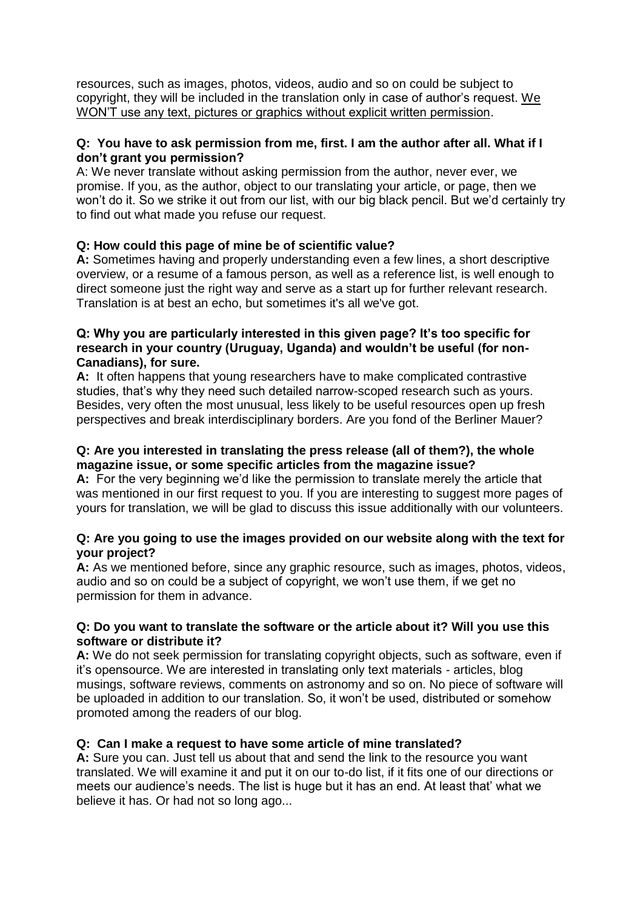resources, such as images, photos, videos, audio and so on could be subject to copyright, they will be included in the translation only in case of author's request. We WON'T use any text, pictures or graphics without explicit written permission.

#### **Q: You have to ask permission from me, first. I am the author after all. What if I don't grant you permission?**

A: We never translate without asking permission from the author, never ever, we promise. If you, as the author, object to our translating your article, or page, then we won't do it. So we strike it out from our list, with our big black pencil. But we'd certainly try to find out what made you refuse our request.

## **Q: How could this page of mine be of scientific value?**

**A:** Sometimes having and properly understanding even a few lines, a short descriptive overview, or a resume of a famous person, as well as a reference list, is well enough to direct someone just the right way and serve as a start up for further relevant research. Translation is at best an echo, but sometimes it's all we've got.

## **Q: Why you are particularly interested in this given page? It's too specific for research in your country (Uruguay, Uganda) and wouldn't be useful (for non-Canadians), for sure.**

**A:** It often happens that young researchers have to make complicated contrastive studies, that's why they need such detailed narrow-scoped research such as yours. Besides, very often the most unusual, less likely to be useful resources open up fresh perspectives and break interdisciplinary borders. Are you fond of the Berliner Mauer?

## **Q: Are you interested in translating the press release (all of them?), the whole magazine issue, or some specific articles from the magazine issue?**

**A:** For the very beginning we'd like the permission to translate merely the article that was mentioned in our first request to you. If you are interesting to suggest more pages of yours for translation, we will be glad to discuss this issue additionally with our volunteers.

## **Q: Are you going to use the images provided on our website along with the text for your project?**

**A:** As we mentioned before, since any graphic resource, such as images, photos, videos, audio and so on could be a subject of copyright, we won't use them, if we get no permission for them in advance.

#### **Q: Do you want to translate the software or the article about it? Will you use this software or distribute it?**

**A:** We do not seek permission for translating copyright objects, such as software, even if it's opensource. We are interested in translating only text materials - articles, blog musings, software reviews, comments on astronomy and so on. No piece of software will be uploaded in addition to our translation. So, it won't be used, distributed or somehow promoted among the readers of our blog.

## **Q: Can I make a request to have some article of mine translated?**

**A:** Sure you can. Just tell us about that and send the link to the resource you want translated. We will examine it and put it on our to-do list, if it fits one of our directions or meets our audience's needs. The list is huge but it has an end. At least that' what we believe it has. Or had not so long ago...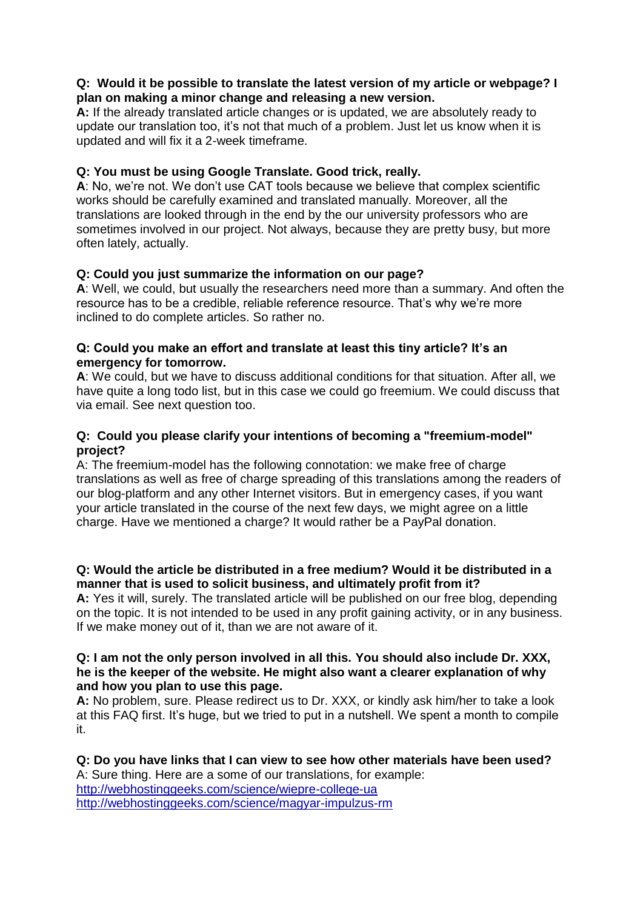#### **Q: Would it be possible to translate the latest version of my article or webpage? I plan on making a minor change and releasing a new version.**

**A:** If the already translated article changes or is updated, we are absolutely ready to update our translation too, it's not that much of a problem. Just let us know when it is updated and will fix it a 2-week timeframe.

## **Q: You must be using Google Translate. Good trick, really.**

**A**: No, we're not. We don't use CAT tools because we believe that complex scientific works should be carefully examined and translated manually. Moreover, all the translations are looked through in the end by the our university professors who are sometimes involved in our project. Not always, because they are pretty busy, but more often lately, actually.

## **Q: Could you just summarize the information on our page?**

**A**: Well, we could, but usually the researchers need more than a summary. And often the resource has to be a credible, reliable reference resource. That's why we're more inclined to do complete articles. So rather no.

### **Q: Could you make an effort and translate at least this tiny article? It's an emergency for tomorrow.**

**A**: We could, but we have to discuss additional conditions for that situation. After all, we have quite a long todo list, but in this case we could go freemium. We could discuss that via email. See next question too.

## **Q: Could you please clarify your intentions of becoming a "freemium-model" project?**

A: The freemium-model has the following connotation: we make free of charge translations as well as free of charge spreading of this translations among the readers of our blog-platform and any other Internet visitors. But in emergency cases, if you want your article translated in the course of the next few days, we might agree on a little charge. Have we mentioned a charge? It would rather be a PayPal donation.

## **Q: Would the article be distributed in a free medium? Would it be distributed in a manner that is used to solicit business, and ultimately profit from it?**

**A:** Yes it will, surely. The translated article will be published on our free blog, depending on the topic. It is not intended to be used in any profit gaining activity, or in any business. If we make money out of it, than we are not aware of it.

#### **Q: I am not the only person involved in all this. You should also include Dr. XXX, he is the keeper of the website. He might also want a clearer explanation of why and how you plan to use this page.**

**A:** No problem, sure. Please redirect us to Dr. XXX, or kindly ask him/her to take a look at this FAQ first. It's huge, but we tried to put in a nutshell. We spent a month to compile it.

**Q: Do you have links that I can view to see how other materials have been used?** A: Sure thing. Here are a some of our translations, for example: <http://webhostinggeeks.com/science/wiepre-college-ua> <http://webhostinggeeks.com/science/magyar-impulzus-rm>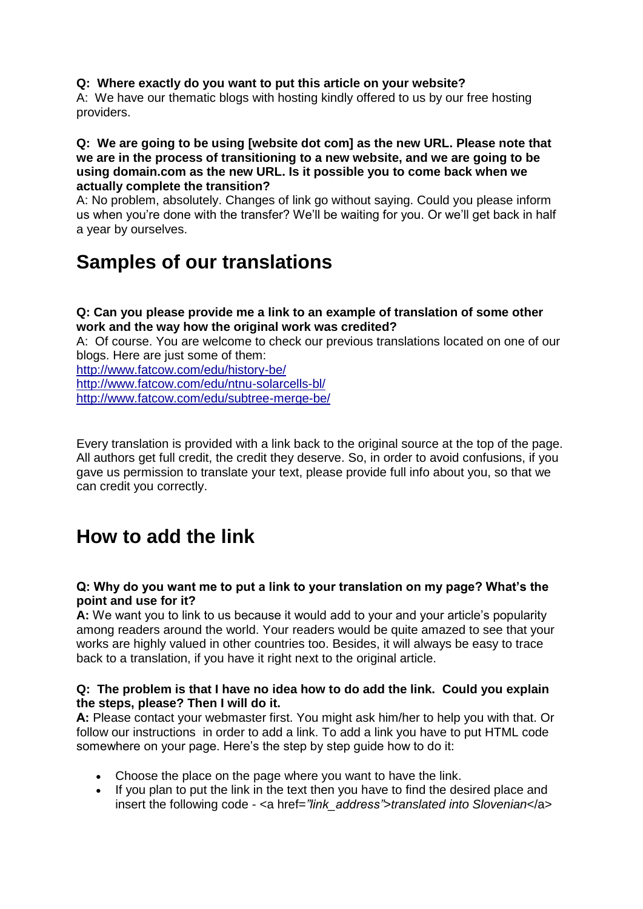#### **Q: Where exactly do you want to put this article on your website?**

A: We have our thematic blogs with hosting kindly offered to us by our free hosting providers.

#### **Q: We are going to be using [website dot com] as the new URL. Please note that we are in the process of transitioning to a new website, and we are going to be using domain.com as the new URL. Is it possible you to come back when we actually complete the transition?**

A: No problem, absolutely. Changes of link go without saying. Could you please inform us when you're done with the transfer? We'll be waiting for you. Or we'll get back in half a year by ourselves.

# **Samples of our translations**

#### **Q: Can you please provide me a link to an example of translation of some other work and the way how the original work was credited?**

A: Of course. You are welcome to check our previous translations located on one of our blogs. Here are just some of them:

<http://www.fatcow.com/edu/history-be/> <http://www.fatcow.com/edu/ntnu-solarcells-bl/> <http://www.fatcow.com/edu/subtree-merge-be/>

Every translation is provided with a link back to the original source at the top of the page. All authors get full credit, the credit they deserve. So, in order to avoid confusions, if you gave us permission to translate your text, please provide full info about you, so that we can credit you correctly.

# **How to add the link**

## **Q: Why do you want me to put a link to your translation on my page? What's the point and use for it?**

**A:** We want you to link to us because it would add to your and your article's popularity among readers around the world. Your readers would be quite amazed to see that your works are highly valued in other countries too. Besides, it will always be easy to trace back to a translation, if you have it right next to the original article.

#### **Q: The problem is that I have no idea how to do add the link. Could you explain the steps, please? Then I will do it.**

**А:** Please contact your webmaster first. You might ask him/her to help you with that. Or follow our instructions in order to add a link. To add a link you have to put HTML code somewhere on your page. Here's the step by step guide how to do it:

- Choose the place on the page where you want to have the link.
- If you plan to put the link in the text then you have to find the desired place and insert the following code - <a href=*"link\_address"*>*translated into Slovenian*</a>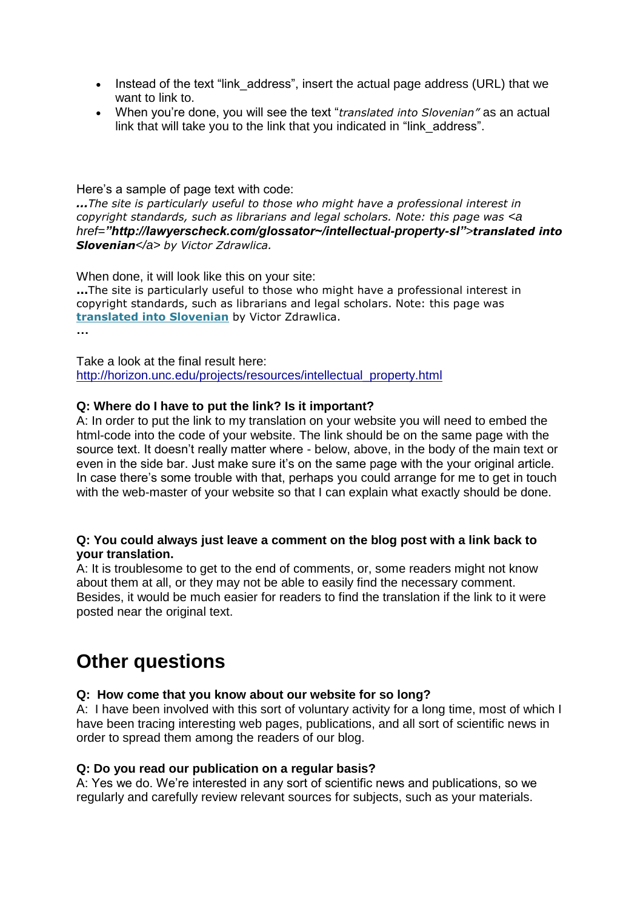- Instead of the text "link address", insert the actual page address (URL) that we want to link to.
- When you're done, you will see the text "*translated into Slovenian"* as an actual link that will take you to the link that you indicated in "link\_address".

Here's a sample of page text with code:

*...The site is particularly useful to those who might have a professional interest in copyright standards, such as librarians and legal scholars. Note: this page was <a href="http://lawyerscheck.com/glossator~/intellectual-property-sl">translated into Slovenian</a> by Victor Zdrawlica.*

When done, it will look like this on your site:

**...**The site is particularly useful to those who might have a professional interest in copyright standards, such as librarians and legal scholars. Note: this page wa[s](http://lawyerscheck.com/glossator~/intellectual-property-sl) **[translated into Slovenian](http://lawyerscheck.com/glossator~/intellectual-property-sl)** by Victor Zdrawlica.

**…**

Take a look at the final result here[:](http://horizon.unc.edu/projects/resources/intellectual_property.html) [http://horizon.unc.edu/projects/resources/intellectual\\_property.html](http://horizon.unc.edu/projects/resources/intellectual_property.html)

#### **Q: Where do I have to put the link? Is it important?**

A: In order to put the link to my translation on your website you will need to embed the html-code into the code of your website. The link should be on the same page with the source text. It doesn't really matter where - below, above, in the body of the main text or even in the side bar. Just make sure it's on the same page with the your original article. In case there's some trouble with that, perhaps you could arrange for me to get in touch with the web-master of your website so that I can explain what exactly should be done.

#### **Q: You could always just leave a comment on the blog post with a link back to your translation.**

A: It is troublesome to get to the end of comments, or, some readers might not know about them at all, or they may not be able to easily find the necessary comment. Besides, it would be much easier for readers to find the translation if the link to it were posted near the original text.

# **Other questions**

## **Q: How come that you know about our website for so long?**

A: I have been involved with this sort of voluntary activity for a long time, most of which I have been tracing interesting web pages, publications, and all sort of scientific news in order to spread them among the readers of our blog.

#### **Q: Do you read our publication on a regular basis?**

A: Yes we do. We're interested in any sort of scientific news and publications, so we regularly and carefully review relevant sources for subjects, such as your materials.